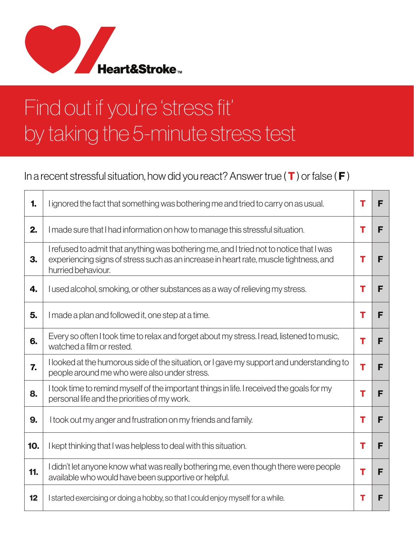

T

## Find out if you're 'stress fit' by taking the 5-minute stress test

## In a recent stressful situation, how did you react? Answer true ( $\mathsf T$ ) or false ( $\mathsf F$ )

| 1.  | I ignored the fact that something was bothering me and tried to carry on as usual.                                                                                                                     | т | F |
|-----|--------------------------------------------------------------------------------------------------------------------------------------------------------------------------------------------------------|---|---|
| 2.  | I made sure that I had information on how to manage this stressful situation.                                                                                                                          | т | F |
| 3.  | I refused to admit that anything was bothering me, and I tried not to notice that I was<br>experiencing signs of stress such as an increase in heart rate, muscle tightness, and<br>hurried behaviour. | т | F |
| 4.  | I used alcohol, smoking, or other substances as a way of relieving my stress.                                                                                                                          | т | F |
| 5.  | I made a plan and followed it, one step at a time.                                                                                                                                                     | т | F |
| 6.  | Every so often I took time to relax and forget about my stress. I read, listened to music,<br>watched a film or rested.                                                                                | т | F |
| 7.  | I looked at the humorous side of the situation, or I gave my support and understanding to<br>people around me who were also under stress.                                                              | т | F |
| 8.  | I took time to remind myself of the important things in life. I received the goals for my<br>personal life and the priorities of my work.                                                              | Т | F |
| 9.  | I took out my anger and frustration on my friends and family.                                                                                                                                          | т | F |
| 10. | I kept thinking that I was helpless to deal with this situation.                                                                                                                                       | т | F |
| 11. | didn't let anyone know what was really bothering me, even though there were people<br>available who would have been supportive or helpful.                                                             | т | F |
| 12  | I started exercising or doing a hobby, so that I could enjoy myself for a while.                                                                                                                       | т | F |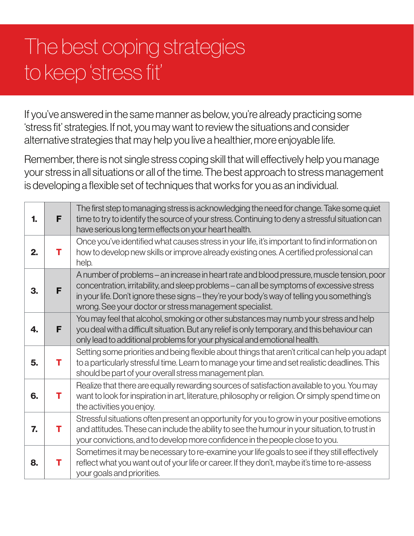## The best coping strategies to keep 'stress fit'

If you've answered in the same manner as below, you're already practicing some 'stress fit' strategies. If not, you may want to review the situations and consider alternative strategies that may help you live a healthier, more enjoyable life.

Remember, there is not single stress coping skill that will effectively help you manage your stress in all situations or all of the time. The best approach to stress management is developing a flexible set of techniques that works for you as an individual.

| 1. | F | The first step to managing stress is acknowledging the need for change. Take some quiet<br>time to try to identify the source of your stress. Continuing to deny a stressful situation can<br>have serious long term effects on your heart health.                                                                                               |
|----|---|--------------------------------------------------------------------------------------------------------------------------------------------------------------------------------------------------------------------------------------------------------------------------------------------------------------------------------------------------|
| 2. | т | Once you've identified what causes stress in your life, it's important to find information on<br>how to develop new skills or improve already existing ones. A certified professional can<br>help.                                                                                                                                               |
| 3. | F | A number of problems – an increase in heart rate and blood pressure, muscle tension, poor<br>concentration, irritability, and sleep problems – can all be symptoms of excessive stress<br>in your life. Don't ignore these signs – they're your body's way of telling you something's<br>wrong. See your doctor or stress management specialist. |
| 4. | F | You may feel that alcohol, smoking or other substances may numb your stress and help<br>you deal with a difficult situation. But any relief is only temporary, and this behaviour can<br>only lead to additional problems for your physical and emotional health.                                                                                |
| 5. | т | Setting some priorities and being flexible about things that aren't critical can help you adapt<br>to a particularly stressful time. Learn to manage your time and set realistic deadlines. This<br>should be part of your overall stress management plan.                                                                                       |
| 6. | т | Realize that there are equally rewarding sources of satisfaction available to you. You may<br>want to look for inspiration in art, literature, philosophy or religion. Or simply spend time on<br>the activities you enjoy.                                                                                                                      |
| 7. | т | Stressful situations often present an opportunity for you to grow in your positive emotions<br>and attitudes. These can include the ability to see the humour in your situation, to trust in<br>your convictions, and to develop more confidence in the people close to you.                                                                     |
| 8. | т | Sometimes it may be necessary to re-examine your life goals to see if they still effectively<br>reflect what you want out of your life or career. If they don't, maybe it's time to re-assess<br>your goals and priorities.                                                                                                                      |